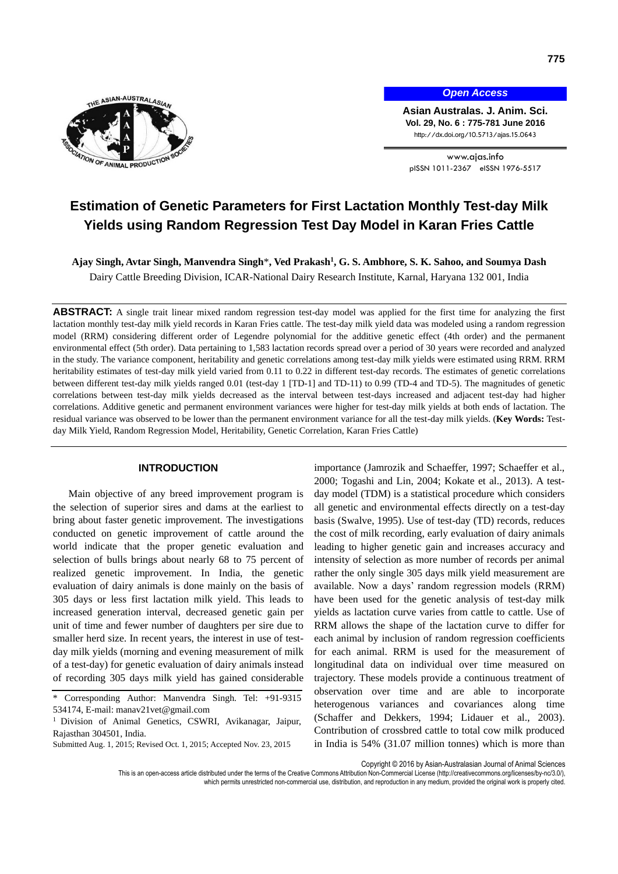

*Open Access*

**Asian Australas. J. Anim. Sci. Vol. 29, No. 6 : 775-781 June 2016** http://dx.doi.org/10.5713/ajas.15.0643

www.ajas.info pISSN 1011-2367 eISSN 1976-5517

# **Estimation of Genetic Parameters for First Lactation Monthly Test-day Milk Yields using Random Regression Test Day Model in Karan Fries Cattle**

**Ajay Singh, Avtar Singh, Manvendra Singh**\***, Ved Prakash<sup>1</sup> , G. S. Ambhore, S. K. Sahoo, and Soumya Dash** Dairy Cattle Breeding Division, ICAR-National Dairy Research Institute, Karnal, Haryana 132 001, India

**ABSTRACT:** A single trait linear mixed random regression test-day model was applied for the first time for analyzing the first lactation monthly test-day milk yield records in Karan Fries cattle. The test-day milk yield data was modeled using a random regression model (RRM) considering different order of Legendre polynomial for the additive genetic effect (4th order) and the permanent environmental effect (5th order). Data pertaining to 1,583 lactation records spread over a period of 30 years were recorded and analyzed in the study. The variance component, heritability and genetic correlations among test-day milk yields were estimated using RRM. RRM heritability estimates of test-day milk yield varied from 0.11 to 0.22 in different test-day records. The estimates of genetic correlations between different test-day milk yields ranged 0.01 (test-day 1 [TD-1] and TD-11) to 0.99 (TD-4 and TD-5). The magnitudes of genetic correlations between test-day milk yields decreased as the interval between test-days increased and adjacent test-day had higher correlations. Additive genetic and permanent environment variances were higher for test-day milk yields at both ends of lactation. The residual variance was observed to be lower than the permanent environment variance for all the test-day milk yields. (**Key Words:** Testday Milk Yield, Random Regression Model, Heritability, Genetic Correlation, Karan Fries Cattle)

# **INTRODUCTION**

Main objective of any breed improvement program is the selection of superior sires and dams at the earliest to bring about faster genetic improvement. The investigations conducted on genetic improvement of cattle around the world indicate that the proper genetic evaluation and selection of bulls brings about nearly 68 to 75 percent of realized genetic improvement. In India, the genetic evaluation of dairy animals is done mainly on the basis of 305 days or less first lactation milk yield. This leads to increased generation interval, decreased genetic gain per unit of time and fewer number of daughters per sire due to smaller herd size. In recent years, the interest in use of testday milk yields (morning and evening measurement of milk of a test-day) for genetic evaluation of dairy animals instead of recording 305 days milk yield has gained considerable

importance (Jamrozik and Schaeffer, 1997; Schaeffer et al., 2000; Togashi and Lin, 2004; Kokate et al., 2013). A testday model (TDM) is a statistical procedure which considers all genetic and environmental effects directly on a test-day basis (Swalve, 1995). Use of test-day (TD) records, reduces the cost of milk recording, early evaluation of dairy animals leading to higher genetic gain and increases accuracy and intensity of selection as more number of records per animal rather the only single 305 days milk yield measurement are available. Now a days' random regression models (RRM) have been used for the genetic analysis of test-day milk yields as lactation curve varies from cattle to cattle. Use of RRM allows the shape of the lactation curve to differ for each animal by inclusion of random regression coefficients for each animal. RRM is used for the measurement of longitudinal data on individual over time measured on trajectory. These models provide a continuous treatment of observation over time and are able to incorporate heterogenous variances and covariances along time (Schaffer and Dekkers, 1994; Lidauer et al., 2003). Contribution of crossbred cattle to total cow milk produced in India is 54% (31.07 million tonnes) which is more than

Copyright © 2016 by Asian-Australasian Journal of Animal Sciences

which permits unrestricted non-commercial use, distribution, and reproduction in any medium, provided the original work is properly cited.

<sup>\*</sup> Corresponding Author: Manvendra Singh. Tel: +91-9315 534174, E-mail: [manav21vet@gmail.com](mailto:manav21vet@gmail.com)

<sup>&</sup>lt;sup>1</sup> Division of Animal Genetics, CSWRI, Avikanagar, Jaipur, Rajasthan 304501, India.

Submitted Aug. 1, 2015; Revised Oct. 1, 2015; Accepted Nov. 23, 2015

This is an open-access article distributed under the terms of the Creative Commons Attribution Non-Commercial License [\(http://creativecommons.org/licenses/by-nc/3.0/\),](http://creativecommons.org/licenses/by-nc/3.0/)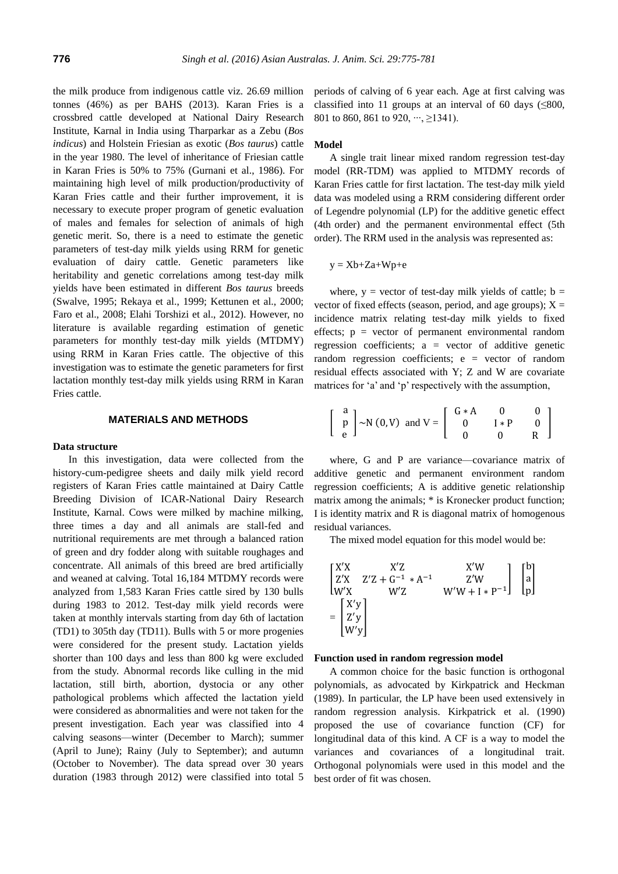the milk produce from indigenous cattle viz. 26.69 million tonnes (46%) as per BAHS (2013). Karan Fries is a crossbred cattle developed at National Dairy Research Institute, Karnal in India using Tharparkar as a Zebu (*Bos indicus*) and Holstein Friesian as exotic (*Bos taurus*) cattle in the year 1980. The level of inheritance of Friesian cattle in Karan Fries is 50% to 75% (Gurnani et al., 1986). For maintaining high level of milk production/productivity of Karan Fries cattle and their further improvement, it is necessary to execute proper program of genetic evaluation of males and females for selection of animals of high genetic merit. So, there is a need to estimate the genetic parameters of test-day milk yields using RRM for genetic evaluation of dairy cattle. Genetic parameters like heritability and genetic correlations among test-day milk yields have been estimated in different *Bos taurus* breeds (Swalve, 1995; Rekaya et al., 1999; Kettunen et al., 2000; Faro et al., 2008; Elahi Torshizi et al., 2012). However, no literature is available regarding estimation of genetic parameters for monthly test-day milk yields (MTDMY) using RRM in Karan Fries cattle. The objective of this investigation was to estimate the genetic parameters for first lactation monthly test-day milk yields using RRM in Karan Fries cattle.

## **MATERIALS AND METHODS**

#### **Data structure**

In this investigation, data were collected from the history-cum-pedigree sheets and daily milk yield record registers of Karan Fries cattle maintained at Dairy Cattle Breeding Division of ICAR-National Dairy Research Institute, Karnal. Cows were milked by machine milking, three times a day and all animals are stall-fed and nutritional requirements are met through a balanced ration of green and dry fodder along with suitable roughages and concentrate. All animals of this breed are bred artificially and weaned at calving. Total 16,184 MTDMY records were analyzed from 1,583 Karan Fries cattle sired by 130 bulls during 1983 to 2012. Test-day milk yield records were taken at monthly intervals starting from day 6th of lactation (TD1) to 305th day (TD11). Bulls with 5 or more progenies were considered for the present study. Lactation yields shorter than 100 days and less than 800 kg were excluded from the study. Abnormal records like culling in the mid lactation, still birth, abortion, dystocia or any other pathological problems which affected the lactation yield were considered as abnormalities and were not taken for the present investigation. Each year was classified into 4 calving seasons—winter (December to March); summer (April to June); Rainy (July to September); and autumn (October to November). The data spread over 30 years duration (1983 through 2012) were classified into total 5 periods of calving of 6 year each. Age at first calving was classified into 11 groups at an interval of 60 days  $(\leq 800,$ 801 to 860, 861 to 920, …, ≥1341).

#### **Model**

A single trait linear mixed random regression test-day model (RR-TDM) was applied to MTDMY records of Karan Fries cattle for first lactation. The test-day milk yield data was modeled using a RRM considering different order of Legendre polynomial (LP) for the additive genetic effect (4th order) and the permanent environmental effect (5th order). The RRM used in the analysis was represented as:

$$
y = Xb + Za + Wp + e
$$

where,  $y =$  vector of test-day milk yields of cattle;  $b =$ vector of fixed effects (season, period, and age groups);  $X =$ incidence matrix relating test-day milk yields to fixed effects;  $p = vector$  of permanent environmental random regression coefficients;  $a =$  vector of additive genetic random regression coefficients; e = vector of random residual effects associated with Y; Z and W are covariate matrices for 'a' and 'p' respectively with the assumption,

$$
\left[\begin{array}{c}a\\p\\e\end{array}\right] \sim N(0,V) \text{ and } V = \left[\begin{array}{ccc}G*A & 0 & 0\\0 & I*P & 0\\0 & 0 & R\end{array}\right]
$$

where, G and P are variance—covariance matrix of additive genetic and permanent environment random regression coefficients; A is additive genetic relationship matrix among the animals; \* is Kronecker product function; I is identity matrix and R is diagonal matrix of homogenous residual variances.

The mixed model equation for this model would be:

$$
\begin{bmatrix} X'X & X'Z & X'W \\ Z'X & Z'Z + G^{-1} * A^{-1} & Z'W \\ W'X & W'Z & W'W + I * P^{-1} \end{bmatrix} \begin{bmatrix} b \\ a \\ p \end{bmatrix}
$$

$$
= \begin{bmatrix} X'y \\ Z'y \\ W'y \end{bmatrix}
$$

#### **Function used in random regression model**

A common choice for the basic function is orthogonal polynomials, as advocated by Kirkpatrick and Heckman (1989). In particular, the LP have been used extensively in random regression analysis. Kirkpatrick et al. (1990) proposed the use of covariance function (CF) for longitudinal data of this kind. A CF is a way to model the variances and covariances of a longitudinal trait. Orthogonal polynomials were used in this model and the best order of fit was chosen.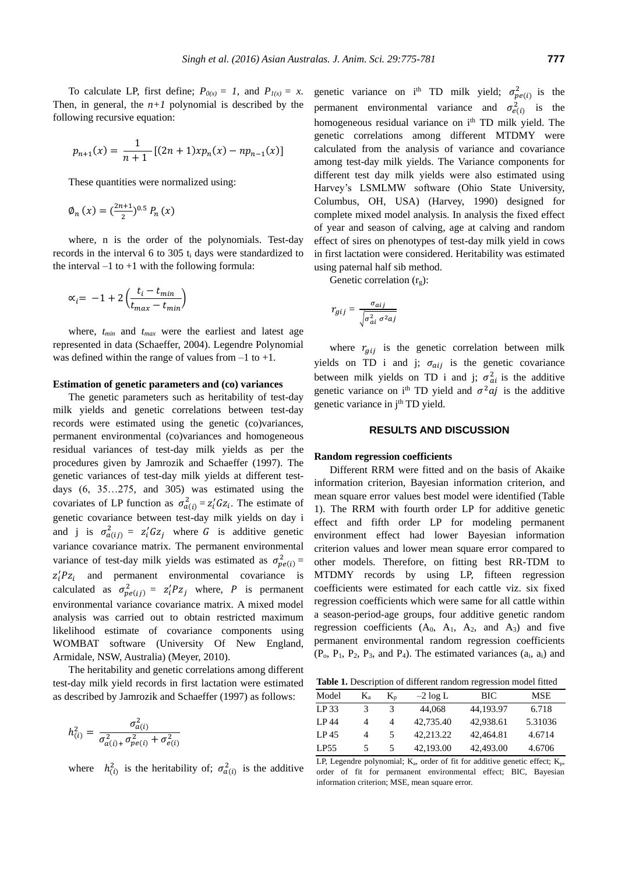To calculate LP, first define;  $P_{\theta(x)} = 1$ , and  $P_{I(x)} = x$ . Then, in general, the  $n+1$  polynomial is described by the following recursive equation:

$$
p_{n+1}(x) = \frac{1}{n+1} \left[ (2n+1) x p_n(x) - n p_{n-1}(x) \right]
$$

These quantities were normalized using:

$$
\emptyset_n(x) = \left(\frac{2n+1}{2}\right)^{0.5} P_n(x)
$$

where, n is the order of the polynomials. Test-day records in the interval 6 to 305 t<sub>i</sub> days were standardized to the interval  $-1$  to  $+1$  with the following formula:

$$
\alpha_i = -1 + 2\left(\frac{t_i - t_{min}}{t_{max} - t_{min}}\right)
$$

where, *tmin* and *tmax* were the earliest and latest age represented in data (Schaeffer, 2004). Legendre Polynomial was defined within the range of values from  $-1$  to  $+1$ .

## **Estimation of genetic parameters and (co) variances**

The genetic parameters such as heritability of test-day milk yields and genetic correlations between test-day records were estimated using the genetic (co)variances, permanent environmental (co)variances and homogeneous residual variances of test-day milk yields as per the procedures given by Jamrozik and Schaeffer (1997). The genetic variances of test-day milk yields at different testdays (6, 35…275, and 305) was estimated using the covariates of LP function as  $\sigma_{a(i)}^2 = z_i' G z_i$ . The estimate of genetic covariance between test-day milk yields on day i and j is  $\sigma_{a(ij)}^2 = z_i' G z_j$  where G is additive genetic variance covariance matrix. The permanent environmental variance of test-day milk yields was estimated as  $\sigma_{pe(i)}^2 =$  $z_i^{\prime} P z_i$  and permanent environmental covariance is calculated as  $\sigma_{pe(ij)}^2 = z_i' P z_j$  where, P is permanent environmental variance covariance matrix. A mixed model analysis was carried out to obtain restricted maximum likelihood estimate of covariance components using WOMBAT software (University Of New England, Armidale, NSW, Australia) (Meyer, 2010).

The heritability and genetic correlations among different test-day milk yield records in first lactation were estimated as described by Jamrozik and Schaeffer (1997) as follows:

$$
h_{(i)}^2 = \frac{\sigma_{a(i)}^2}{\sigma_{a(i)+}^2 \sigma_{pe(i)}^2 + \sigma_{e(i)}^2}
$$

where  $h_{(i)}^2$  is the heritability of;  $\sigma_{a(i)}^2$  is the additive

genetic variance on i<sup>th</sup> TD milk yield;  $\sigma_{pe(i)}^2$  is the permanent environmental variance and  $\sigma_{e(i)}^2$  is the homogeneous residual variance on i<sup>th</sup> TD milk yield. The genetic correlations among different MTDMY were calculated from the analysis of variance and covariance among test-day milk yields. The Variance components for different test day milk yields were also estimated using Harvey's LSMLMW software (Ohio State University, Columbus, OH, USA) (Harvey, 1990) designed for complete mixed model analysis. In analysis the fixed effect of year and season of calving, age at calving and random effect of sires on phenotypes of test-day milk yield in cows in first lactation were considered. Heritability was estimated using paternal half sib method.

Genetic correlation  $(r_g)$ :

$$
r_{gij} = \frac{\sigma_{aij}}{\sqrt{\sigma_{ai}^2 \sigma^2 a_j}}
$$

where  $r_{ai}$  is the genetic correlation between milk yields on TD i and j;  $\sigma_{aij}$  is the genetic covariance between milk yields on TD i and j;  $\sigma_{ai}^2$  is the additive genetic variance on i<sup>th</sup> TD yield and  $\sigma^2 a j$  is the additive genetic variance in j<sup>th</sup> TD yield.

## **RESULTS AND DISCUSSION**

#### **Random regression coefficients**

Different RRM were fitted and on the basis of Akaike information criterion, Bayesian information criterion, and mean square error values best model were identified (Table 1). The RRM with fourth order LP for additive genetic effect and fifth order LP for modeling permanent environment effect had lower Bayesian information criterion values and lower mean square error compared to other models. Therefore, on fitting best RR-TDM to MTDMY records by using LP, fifteen regression coefficients were estimated for each cattle viz. six fixed regression coefficients which were same for all cattle within a season-period-age groups, four additive genetic random regression coefficients  $(A_0, A_1, A_2, and A_3)$  and five permanent environmental random regression coefficients  $(P_0, P_1, P_2, P_3, \text{ and } P_4)$ . The estimated variances  $(a_i, a_i)$  and

**Table 1.** Description of different random regression model fitted

| Model            | Kа | $K_{p}$ | $-2 \log L$ | BIC       | <b>MSE</b> |  |  |
|------------------|----|---------|-------------|-----------|------------|--|--|
| LP33             |    | 3       | 44,068      | 44.193.97 | 6.718      |  |  |
| <b>I</b> P 44    | 4  | 4       | 42,735.40   | 42.938.61 | 5.31036    |  |  |
| LP <sub>45</sub> | 4  | 5       | 42.213.22   | 42,464.81 | 4.6714     |  |  |
| LP55             |    | 5       | 42,193.00   | 42,493.00 | 4.6706     |  |  |

LP, Legendre polynomial;  $K_a$ , order of fit for additive genetic effect;  $K_p$ , order of fit for permanent environmental effect; BIC, Bayesian information criterion; MSE, mean square error.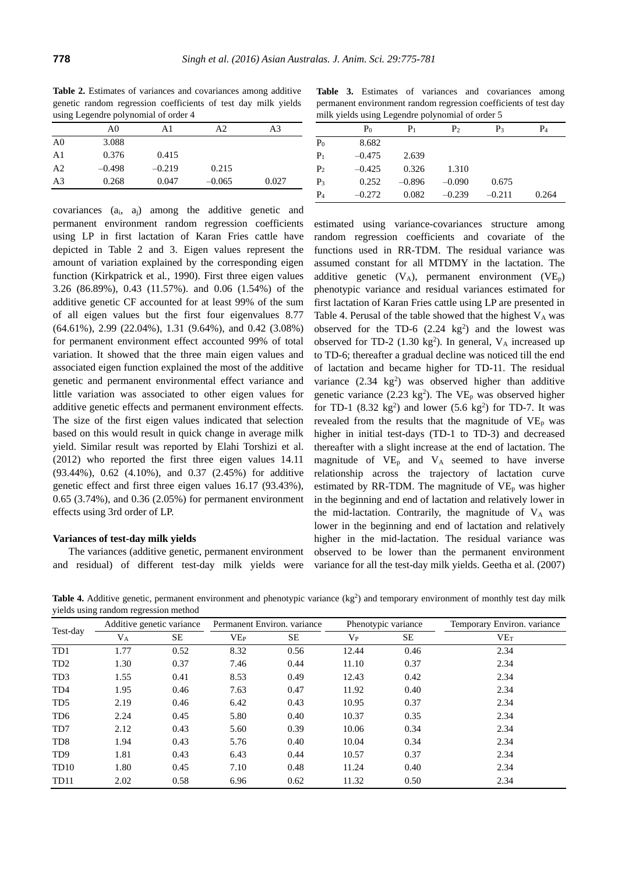**Table 2.** Estimates of variances and covariances among additive genetic random regression coefficients of test day milk yields using Legendre polynomial of order 4

| A3    |
|-------|
|       |
|       |
|       |
|       |
| 0.027 |
|       |

covariances (ai, aj) among the additive genetic and permanent environment random regression coefficients using LP in first lactation of Karan Fries cattle have depicted in Table 2 and 3. Eigen values represent the amount of variation explained by the corresponding eigen function (Kirkpatrick et al*.*, 1990). First three eigen values 3.26 (86.89%), 0.43 (11.57%). and 0.06 (1.54%) of the additive genetic CF accounted for at least 99% of the sum of all eigen values but the first four eigenvalues 8.77 (64.61%), 2.99 (22.04%), 1.31 (9.64%), and 0.42 (3.08%) for permanent environment effect accounted 99% of total variation. It showed that the three main eigen values and associated eigen function explained the most of the additive genetic and permanent environmental effect variance and little variation was associated to other eigen values for additive genetic effects and permanent environment effects. The size of the first eigen values indicated that selection based on this would result in quick change in average milk yield. Similar result was reported by Elahi Torshizi et al. (2012) who reported the first three eigen values 14.11 (93.44%), 0.62 (4.10%), and 0.37 (2.45%) for additive genetic effect and first three eigen values 16.17 (93.43%), 0.65 (3.74%), and 0.36 (2.05%) for permanent environment effects using 3rd order of LP.

### **Variances of test-day milk yields**

The variances (additive genetic, permanent environment and residual) of different test-day milk yields were

Table 3. Estimates of variances and covariances among permanent environment random regression coefficients of test day milk yields using Legendre polynomial of order 5

|                | P <sub>0</sub> | $P_1$    | P <sub>2</sub> | $P_3$    | P <sub>4</sub> |
|----------------|----------------|----------|----------------|----------|----------------|
| P <sub>0</sub> | 8.682          |          |                |          |                |
| $P_1$          | $-0.475$       | 2.639    |                |          |                |
| P <sub>2</sub> | $-0.425$       | 0.326    | 1.310          |          |                |
| $P_3$          | 0.252          | $-0.896$ | $-0.090$       | 0.675    |                |
| $P_4$          | $-0.272$       | 0.082    | $-0.239$       | $-0.211$ | 0.264          |

estimated using variance-covariances structure among random regression coefficients and covariate of the functions used in RR-TDM. The residual variance was assumed constant for all MTDMY in the lactation. The additive genetic  $(V_A)$ , permanent environment  $(VE_p)$ phenotypic variance and residual variances estimated for first lactation of Karan Fries cattle using LP are presented in Table 4. Perusal of the table showed that the highest  $V_A$  was observed for the TD-6  $(2.24 \text{ kg}^2)$  and the lowest was observed for TD-2  $(1.30 \text{ kg}^2)$ . In general, V<sub>A</sub> increased up to TD-6; thereafter a gradual decline was noticed till the end of lactation and became higher for TD-11. The residual variance  $(2.34 \text{ kg}^2)$  was observed higher than additive genetic variance (2.23  $kg<sup>2</sup>$ ). The VE<sub>p</sub> was observed higher for TD-1  $(8.32 \text{ kg}^2)$  and lower  $(5.6 \text{ kg}^2)$  for TD-7. It was revealed from the results that the magnitude of  $VE<sub>p</sub>$  was higher in initial test-days (TD-1 to TD-3) and decreased thereafter with a slight increase at the end of lactation. The magnitude of  $VE<sub>p</sub>$  and  $V<sub>A</sub>$  seemed to have inverse relationship across the trajectory of lactation curve estimated by RR-TDM. The magnitude of  $VE<sub>p</sub>$  was higher in the beginning and end of lactation and relatively lower in the mid-lactation. Contrarily, the magnitude of  $V_A$  was lower in the beginning and end of lactation and relatively higher in the mid-lactation. The residual variance was observed to be lower than the permanent environment variance for all the test-day milk yields. Geetha et al. (2007)

Table 4. Additive genetic, permanent environment and phenotypic variance (kg<sup>2</sup>) and temporary environment of monthly test day milk yields using random regression method

|                  | ັ<br>ັ                    |      |                             |      |                     |      |                             |  |  |
|------------------|---------------------------|------|-----------------------------|------|---------------------|------|-----------------------------|--|--|
| Test-day         | Additive genetic variance |      | Permanent Environ, variance |      | Phenotypic variance |      | Temporary Environ, variance |  |  |
|                  | $\rm V_A$                 | SE   | VEP                         | SE   | $V_{P}$             | SE   | VET                         |  |  |
| T <sub>D</sub> 1 | 1.77                      | 0.52 | 8.32                        | 0.56 | 12.44               | 0.46 | 2.34                        |  |  |
| TD <sub>2</sub>  | 1.30                      | 0.37 | 7.46                        | 0.44 | 11.10               | 0.37 | 2.34                        |  |  |
| TD <sub>3</sub>  | 1.55                      | 0.41 | 8.53                        | 0.49 | 12.43               | 0.42 | 2.34                        |  |  |
| TD <sub>4</sub>  | 1.95                      | 0.46 | 7.63                        | 0.47 | 11.92               | 0.40 | 2.34                        |  |  |
| TD <sub>5</sub>  | 2.19                      | 0.46 | 6.42                        | 0.43 | 10.95               | 0.37 | 2.34                        |  |  |
| TD <sub>6</sub>  | 2.24                      | 0.45 | 5.80                        | 0.40 | 10.37               | 0.35 | 2.34                        |  |  |
| TD7              | 2.12                      | 0.43 | 5.60                        | 0.39 | 10.06               | 0.34 | 2.34                        |  |  |
| T <sub>D</sub> 8 | 1.94                      | 0.43 | 5.76                        | 0.40 | 10.04               | 0.34 | 2.34                        |  |  |
| T <sub>D</sub> 9 | 1.81                      | 0.43 | 6.43                        | 0.44 | 10.57               | 0.37 | 2.34                        |  |  |
| TD <sub>10</sub> | 1.80                      | 0.45 | 7.10                        | 0.48 | 11.24               | 0.40 | 2.34                        |  |  |
| TD <sub>11</sub> | 2.02                      | 0.58 | 6.96                        | 0.62 | 11.32               | 0.50 | 2.34                        |  |  |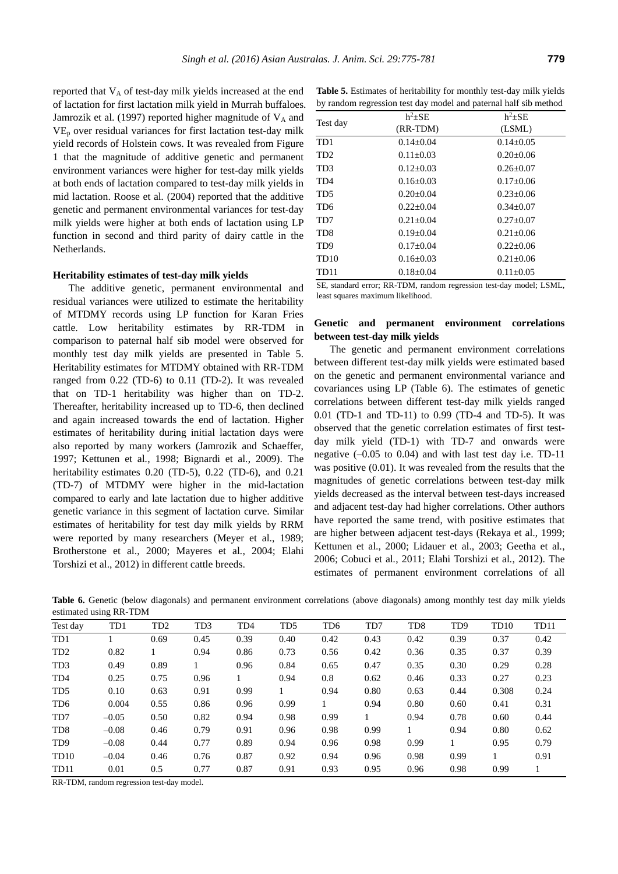reported that V<sub>A</sub> of test-day milk yields increased at the end of lactation for first lactation milk yield in Murrah buffaloes. Jamrozik et al. (1997) reported higher magnitude of  $V_A$  and  $VE<sub>p</sub>$  over residual variances for first lactation test-day milk yield records of Holstein cows. It was revealed from Figure 1 that the magnitude of additive genetic and permanent environment variances were higher for test-day milk yields at both ends of lactation compared to test-day milk yields in mid lactation. Roose et al*.* (2004) reported that the additive genetic and permanent environmental variances for test-day milk yields were higher at both ends of lactation using LP function in second and third parity of dairy cattle in the Netherlands.

#### **Heritability estimates of test-day milk yields**

The additive genetic, permanent environmental and residual variances were utilized to estimate the heritability of MTDMY records using LP function for Karan Fries cattle. Low heritability estimates by RR-TDM in comparison to paternal half sib model were observed for monthly test day milk yields are presented in Table 5. Heritability estimates for MTDMY obtained with RR-TDM ranged from 0.22 (TD-6) to 0.11 (TD-2). It was revealed that on TD-1 heritability was higher than on TD-2. Thereafter, heritability increased up to TD-6, then declined and again increased towards the end of lactation. Higher estimates of heritability during initial lactation days were also reported by many workers (Jamrozik and Schaeffer, 1997; Kettunen et al*.*, 1998; Bignardi et al*.*, 2009). The heritability estimates 0.20 (TD-5), 0.22 (TD-6), and 0.21 (TD-7) of MTDMY were higher in the mid-lactation compared to early and late lactation due to higher additive genetic variance in this segment of lactation curve. Similar estimates of heritability for test day milk yields by RRM were reported by many researchers (Meyer et al., 1989; Brotherstone et al., 2000; Mayeres et al*.*, 2004; Elahi Torshizi et al., 2012) in different cattle breeds.

**Table 5.** Estimates of heritability for monthly test-day milk yields by random regression test day model and paternal half sib method

|          | $h^2 + SE$      | $h^2 + SE$      |  |
|----------|-----------------|-----------------|--|
| Test day | (RR-TDM)        | (LSML)          |  |
| TD1      | $0.14 \pm 0.04$ | $0.14 \pm 0.05$ |  |
| TD2      | $0.11 \pm 0.03$ | $0.20 \pm 0.06$ |  |
| TD3      | $0.12 \pm 0.03$ | $0.26 \pm 0.07$ |  |
| TD4      | $0.16 + 0.03$   | $0.17 \pm 0.06$ |  |
| TD5      | $0.20 \pm 0.04$ | $0.23 \pm 0.06$ |  |
| TD6      | $0.22 \pm 0.04$ | $0.34 \pm 0.07$ |  |
| TD7      | $0.21 \pm 0.04$ | $0.27 \pm 0.07$ |  |
| TD8      | $0.19 \pm 0.04$ | $0.21 \pm 0.06$ |  |
| TD9      | $0.17+0.04$     | $0.22 + 0.06$   |  |
| TD10     | $0.16 \pm 0.03$ | $0.21 \pm 0.06$ |  |
| TD11     | $0.18 \pm 0.04$ | $0.11 \pm 0.05$ |  |
|          |                 |                 |  |

SE, standard error; RR-TDM, random regression test-day model; LSML, least squares maximum likelihood.

# **Genetic and permanent environment correlations between test-day milk yields**

The genetic and permanent environment correlations between different test-day milk yields were estimated based on the genetic and permanent environmental variance and covariances using LP (Table 6). The estimates of genetic correlations between different test-day milk yields ranged 0.01 (TD-1 and TD-11) to 0.99 (TD-4 and TD-5). It was observed that the genetic correlation estimates of first testday milk yield (TD-1) with TD-7 and onwards were negative  $(-0.05 \text{ to } 0.04)$  and with last test day i.e. TD-11 was positive (0.01). It was revealed from the results that the magnitudes of genetic correlations between test-day milk yields decreased as the interval between test-days increased and adjacent test-day had higher correlations. Other authors have reported the same trend, with positive estimates that are higher between adjacent test-days (Rekaya et al., 1999; Kettunen et al., 2000; Lidauer et al., 2003; Geetha et al*.*, 2006; Cobuci et al*.*, 2011; Elahi Torshizi et al*.*, 2012). The estimates of permanent environment correlations of all

**Table 6.** Genetic (below diagonals) and permanent environment correlations (above diagonals) among monthly test day milk yields estimated using RR-TDM

|                  | $\circ$ |                 |                 |                 |                 |                 |              |                  |                 |                  |      |
|------------------|---------|-----------------|-----------------|-----------------|-----------------|-----------------|--------------|------------------|-----------------|------------------|------|
| Test day         | TD1     | TD <sub>2</sub> | TD <sub>3</sub> | TD <sub>4</sub> | T <sub>D5</sub> | TD <sub>6</sub> | TD7          | T <sub>D</sub> 8 | TD <sub>9</sub> | TD <sub>10</sub> | TD11 |
| TD1              |         | 0.69            | 0.45            | 0.39            | 0.40            | 0.42            | 0.43         | 0.42             | 0.39            | 0.37             | 0.42 |
| TD <sub>2</sub>  | 0.82    | $\mathbf{1}$    | 0.94            | 0.86            | 0.73            | 0.56            | 0.42         | 0.36             | 0.35            | 0.37             | 0.39 |
| TD <sub>3</sub>  | 0.49    | 0.89            |                 | 0.96            | 0.84            | 0.65            | 0.47         | 0.35             | 0.30            | 0.29             | 0.28 |
| TD <sub>4</sub>  | 0.25    | 0.75            | 0.96            | $\mathbf{1}$    | 0.94            | 0.8             | 0.62         | 0.46             | 0.33            | 0.27             | 0.23 |
| T <sub>D5</sub>  | 0.10    | 0.63            | 0.91            | 0.99            | 1               | 0.94            | 0.80         | 0.63             | 0.44            | 0.308            | 0.24 |
| TD <sub>6</sub>  | 0.004   | 0.55            | 0.86            | 0.96            | 0.99            |                 | 0.94         | 0.80             | 0.60            | 0.41             | 0.31 |
| TD7              | $-0.05$ | 0.50            | 0.82            | 0.94            | 0.98            | 0.99            | $\mathbf{1}$ | 0.94             | 0.78            | 0.60             | 0.44 |
| TD <sub>8</sub>  | $-0.08$ | 0.46            | 0.79            | 0.91            | 0.96            | 0.98            | 0.99         | $\mathbf{1}$     | 0.94            | 0.80             | 0.62 |
| TD <sub>9</sub>  | $-0.08$ | 0.44            | 0.77            | 0.89            | 0.94            | 0.96            | 0.98         | 0.99             | $\mathbf{1}$    | 0.95             | 0.79 |
| TD <sub>10</sub> | $-0.04$ | 0.46            | 0.76            | 0.87            | 0.92            | 0.94            | 0.96         | 0.98             | 0.99            | $\mathbf{1}$     | 0.91 |
| TD11             | 0.01    | 0.5             | 0.77            | 0.87            | 0.91            | 0.93            | 0.95         | 0.96             | 0.98            | 0.99             | 1    |
|                  |         |                 |                 |                 |                 |                 |              |                  |                 |                  |      |

RR-TDM, random regression test-day model.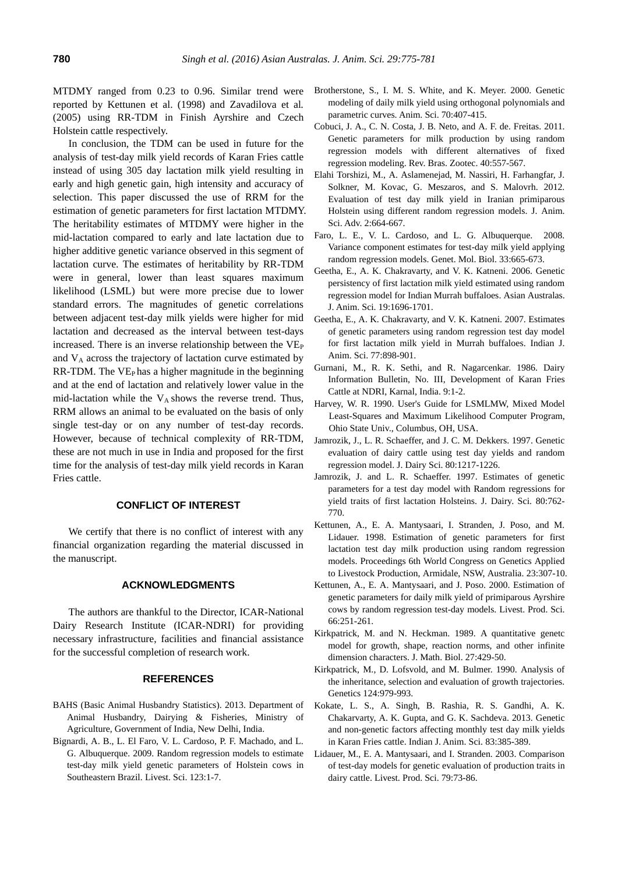MTDMY ranged from 0.23 to 0.96. Similar trend were reported by Kettunen et al. (1998) and Zavadilova et al*.* (2005) using RR-TDM in Finish Ayrshire and Czech Holstein cattle respectively.

In conclusion, the TDM can be used in future for the analysis of test-day milk yield records of Karan Fries cattle instead of using 305 day lactation milk yield resulting in early and high genetic gain, high intensity and accuracy of selection. This paper discussed the use of RRM for the estimation of genetic parameters for first lactation MTDMY. The heritability estimates of MTDMY were higher in the mid-lactation compared to early and late lactation due to higher additive genetic variance observed in this segment of lactation curve. The estimates of heritability by RR-TDM were in general, lower than least squares maximum likelihood (LSML) but were more precise due to lower standard errors. The magnitudes of genetic correlations between adjacent test-day milk yields were higher for mid lactation and decreased as the interval between test-days increased. There is an inverse relationship between the VE<sub>P</sub> and  $V_A$  across the trajectory of lactation curve estimated by  $RR-TDM$ . The  $VE<sub>P</sub>$  has a higher magnitude in the beginning and at the end of lactation and relatively lower value in the mid-lactation while the  $V_A$  shows the reverse trend. Thus, RRM allows an animal to be evaluated on the basis of only single test-day or on any number of test-day records. However, because of technical complexity of RR-TDM, these are not much in use in India and proposed for the first time for the analysis of test-day milk yield records in Karan Fries cattle.

# **CONFLICT OF INTEREST**

We certify that there is no conflict of interest with any financial organization regarding the material discussed in the manuscript.

# **ACKNOWLEDGMENTS**

The authors are thankful to the Director, ICAR-National Dairy Research Institute (ICAR-NDRI) for providing necessary infrastructure, facilities and financial assistance for the successful completion of research work.

## **REFERENCES**

- BAHS (Basic Animal Husbandry Statistics). 2013. Department of Animal Husbandry, Dairying & Fisheries, Ministry of Agriculture, Government of India, New Delhi, India.
- Bignardi, A. B., L. El Faro, V. L. Cardoso, P. F. Machado, and L. G. Albuquerque. 2009. Random regression models to estimate test-day milk yield genetic parameters of Holstein cows in Southeastern Brazil. Livest. Sci. 123:1-7.
- Brotherstone, S., I. M. S. White, and K. Meyer. 2000. Genetic modeling of daily milk yield using orthogonal polynomials and parametric curves. Anim. Sci. 70:407-415.
- Cobuci, J. A., C. N. Costa, J. B. Neto, and A. F. de. Freitas. 2011. Genetic parameters for milk production by using random regression models with different alternatives of fixed regression modeling. Rev. Bras. Zootec. 40:557-567.
- Elahi Torshizi, M., A. Aslamenejad, M. Nassiri, H. Farhangfar, J. Solkner, M. Kovac, G. Meszaros, and S. Malovrh. 2012. Evaluation of test day milk yield in Iranian primiparous Holstein using different random regression models. J. Anim. Sci. Adv. 2:664-667.
- Faro, L. E., V. L. Cardoso, and L. G. Albuquerque. 2008. Variance component estimates for test-day milk yield applying random regression models. Genet. Mol. Biol. 33:665-673.
- Geetha, E., A. K. Chakravarty, and V. K. Katneni. 2006. [Genetic](http://ajas.info/journal/view.php?number=21458)  [persistency of first lactation milk yield estimated using random](http://ajas.info/journal/view.php?number=21458)  [regression model for Indian Murrah buffaloes.](http://ajas.info/journal/view.php?number=21458) Asian Australas. J. Anim. Sci. 19:1696-1701.
- Geetha, E., A. K. Chakravarty, and V. K. Katneni. 2007. Estimates of genetic parameters using random regression test day model for first lactation milk yield in Murrah buffaloes. Indian J. Anim. Sci. 77:898-901.
- Gurnani, M., R. K. Sethi, and R. Nagarcenkar. 1986. Dairy Information Bulletin, No. III, Development of Karan Fries Cattle at NDRI, Karnal, India. 9:1-2.
- Harvey, W. R. 1990. User's Guide for LSMLMW, Mixed Model Least-Squares and Maximum Likelihood Computer Program, Ohio State Univ., Columbus, OH, USA.
- Jamrozik, J., L. R. Schaeffer, and J. C. M. Dekkers. 1997. Genetic evaluation of dairy cattle using test day yields and random regression model. J. Dairy Sci. 80:1217-1226.
- Jamrozik, J. and L. R. Schaeffer. 1997. Estimates of genetic parameters for a test day model with Random regressions for yield traits of first lactation Holsteins. J. Dairy. Sci. 80:762- 770.
- Kettunen, A., E. A. Mantysaari, I. Stranden, J. Poso, and M. Lidauer. 1998. Estimation of genetic parameters for first lactation test day milk production using random regression models. Proceedings 6th World Congress on Genetics Applied to Livestock Production, Armidale, NSW, Australia. 23:307-10.
- Kettunen, A., E. A. Mantysaari, and J. Poso. 2000. Estimation of genetic parameters for daily milk yield of primiparous Ayrshire cows by random regression test-day models. Livest. Prod. Sci. 66:251-261.
- Kirkpatrick, M. and N. Heckman. 1989. A quantitative genetc model for growth, shape, reaction norms, and other infinite dimension characters. J. Math. Biol. 27:429-50.
- Kirkpatrick, M., D. Lofsvold, and M. Bulmer. 1990. Analysis of the inheritance, selection and evaluation of growth trajectories. Genetics 124:979-993.
- Kokate, L. S., A. Singh, B. Rashia, R. S. Gandhi, A. K. Chakarvarty, A. K. Gupta, and G. K. Sachdeva. 2013. Genetic and non-genetic factors affecting monthly test day milk yields in Karan Fries cattle. Indian J. Anim. Sci. 83:385-389.
- Lidauer, M., E. A. Mantysaari, and I. Stranden. 2003. Comparison of test-day models for genetic evaluation of production traits in dairy cattle. Livest. Prod. Sci. 79:73-86.